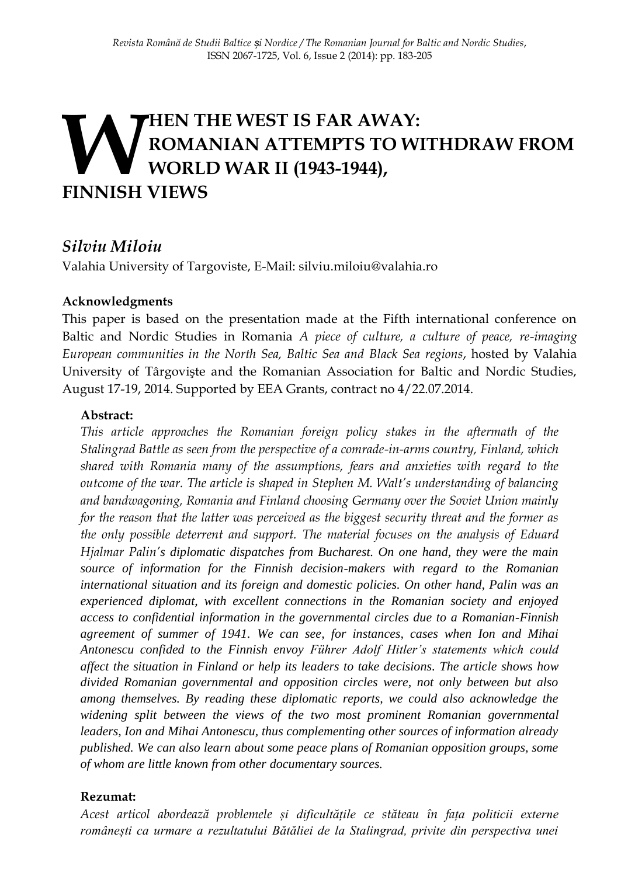# **HEN THE WEST IS FAR AWAY: ROMANIAN ATTEMPTS TO WITHDRAW FROM WORLD WAR II (1943-1944), FINNISH VIEWS**

# *Silviu Miloiu*

Valahia University of Targoviste, E-Mail: silviu.miloiu@valahia.ro

### **Acknowledgments**

This paper is based on the presentation made at the Fifth international conference on Baltic and Nordic Studies in Romania *A piece of culture, a culture of peace, re-imaging European communities in the North Sea, Baltic Sea and Black Sea regions*, hosted by Valahia University of Târgovişte and the Romanian Association for Baltic and Nordic Studies, August 17-19, 2014. Supported by EEA Grants, contract no 4/22.07.2014.

### **Abstract:**

*This article approaches the Romanian foreign policy stakes in the aftermath of the Stalingrad Battle as seen from the perspective of a comrade-in-arms country, Finland, which shared with Romania many of the assumptions, fears and anxieties with regard to the outcome of the war. The article is shaped in Stephen M. Walt's understanding of balancing and bandwagoning, Romania and Finland choosing Germany over the Soviet Union mainly for the reason that the latter was perceived as the biggest security threat and the former as the only possible deterrent and support. The material focuses on the analysis of Eduard Hjalmar Palin's diplomatic dispatches from Bucharest. On one hand, they were the main source of information for the Finnish decision-makers with regard to the Romanian international situation and its foreign and domestic policies. On other hand, Palin was an experienced diplomat, with excellent connections in the Romanian society and enjoyed access to confidential information in the governmental circles due to a Romanian-Finnish agreement of summer of 1941. We can see, for instances, cases when Ion and Mihai Antonescu confided to the Finnish envoy Führer Adolf Hitler's statements which could affect the situation in Finland or help its leaders to take decisions. The article shows how divided Romanian governmental and opposition circles were, not only between but also among themselves. By reading these diplomatic reports, we could also acknowledge the widening split between the views of the two most prominent Romanian governmental leaders, Ion and Mihai Antonescu, thus complementing other sources of information already published. We can also learn about some peace plans of Romanian opposition groups, some of whom are little known from other documentary sources.*

### **Rezumat:**

*Acest articol abordează problemele și dificultățile ce stăteau în fața politicii externe românești ca urmare a rezultatului Bătăliei de la Stalingrad, privite din perspectiva unei*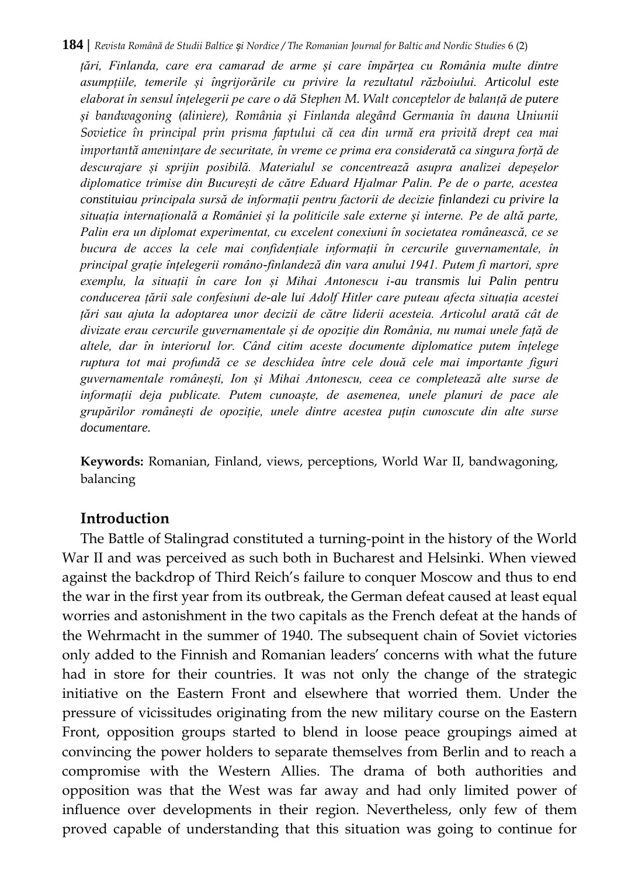#### **184 |** *Revista Română de Studii Baltice și Nordice / The Romanian Journal for Baltic and Nordic Studies* 6 (2)

*țări, Finlanda, care era camarad de arme și care împărțea cu România multe dintre asumpțiile, temerile și îngrijorările cu privire la rezultatul războiului. Articolul este elaborat în sensul înțelegerii pe care o dă Stephen M. Walt conceptelor de balanță de putere și bandwagoning (aliniere), România și Finlanda alegând Germania în dauna Uniunii Sovietice în principal prin prisma faptului că cea din urmă era privită drept cea mai importantă amenințare de securitate, în vreme ce prima era considerată ca singura forță de descurajare și sprijin posibilă. Materialul se concentrează asupra analizei depeșelor diplomatice trimise din București de către Eduard Hjalmar Palin. Pe de o parte, acestea constituiau principala sursă de informații pentru factorii de decizie finlandezi cu privire la situația internațională a României și la politicile sale externe și interne. Pe de altă parte, Palin era un diplomat experimentat, cu excelent conexiuni în societatea românească, ce se bucura de acces la cele mai confidențiale informații în cercurile guvernamentale, în principal grație înțelegerii româno-finlandeză din vara anului 1941. Putem fi martori, spre exemplu, la situații în care Ion și Mihai Antonescu i-au transmis lui Palin pentru conducerea țării sale confesiuni de-ale lui Adolf Hitler care puteau afecta situația acestei țări sau ajuta la adoptarea unor decizii de către liderii acesteia. Articolul arată cât de divizate erau cercurile guvernamentale și de opoziție din România, nu numai unele față de altele, dar în interiorul lor. Când citim aceste documente diplomatice putem înțelege ruptura tot mai profundă ce se deschidea între cele două cele mai importante figuri guvernamentale românești, Ion și Mihai Antonescu, ceea ce completează alte surse de informații deja publicate. Putem cunoaște, de asemenea, unele planuri de pace ale grupărilor românești de opoziție, unele dintre acestea puțin cunoscute din alte surse documentare.*

**Keywords:** Romanian, Finland, views, perceptions, World War II, bandwagoning, balancing

### **Introduction**

The Battle of Stalingrad constituted a turning-point in the history of the World War II and was perceived as such both in Bucharest and Helsinki. When viewed against the backdrop of Third Reich's failure to conquer Moscow and thus to end the war in the first year from its outbreak, the German defeat caused at least equal worries and astonishment in the two capitals as the French defeat at the hands of the Wehrmacht in the summer of 1940. The subsequent chain of Soviet victories only added to the Finnish and Romanian leaders' concerns with what the future had in store for their countries. It was not only the change of the strategic initiative on the Eastern Front and elsewhere that worried them. Under the pressure of vicissitudes originating from the new military course on the Eastern Front, opposition groups started to blend in loose peace groupings aimed at convincing the power holders to separate themselves from Berlin and to reach a compromise with the Western Allies. The drama of both authorities and opposition was that the West was far away and had only limited power of influence over developments in their region. Nevertheless, only few of them proved capable of understanding that this situation was going to continue for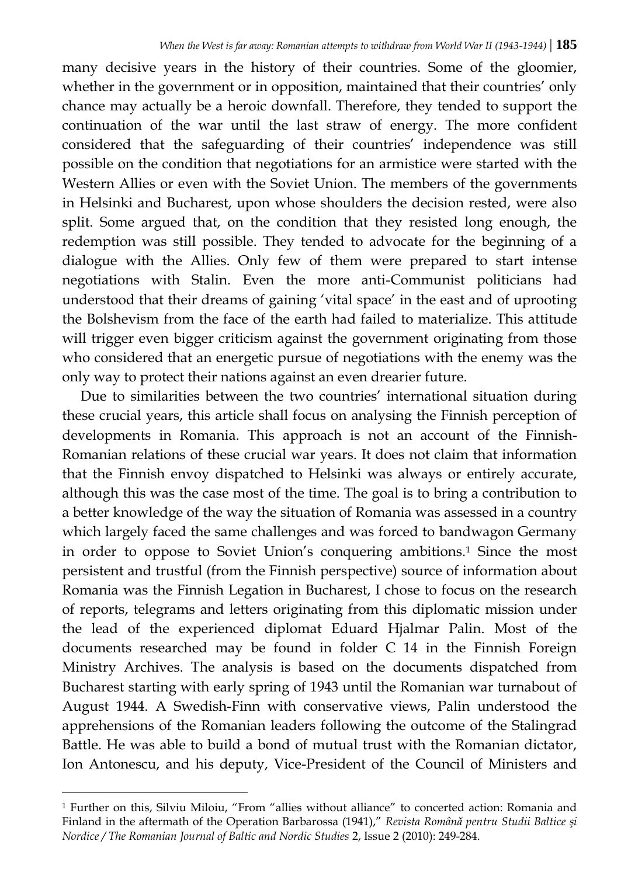many decisive years in the history of their countries. Some of the gloomier, whether in the government or in opposition, maintained that their countries' only chance may actually be a heroic downfall. Therefore, they tended to support the continuation of the war until the last straw of energy. The more confident considered that the safeguarding of their countries' independence was still possible on the condition that negotiations for an armistice were started with the Western Allies or even with the Soviet Union. The members of the governments in Helsinki and Bucharest, upon whose shoulders the decision rested, were also split. Some argued that, on the condition that they resisted long enough, the redemption was still possible. They tended to advocate for the beginning of a dialogue with the Allies. Only few of them were prepared to start intense negotiations with Stalin. Even the more anti-Communist politicians had understood that their dreams of gaining 'vital space' in the east and of uprooting the Bolshevism from the face of the earth had failed to materialize. This attitude will trigger even bigger criticism against the government originating from those who considered that an energetic pursue of negotiations with the enemy was the only way to protect their nations against an even drearier future.

Due to similarities between the two countries' international situation during these crucial years, this article shall focus on analysing the Finnish perception of developments in Romania. This approach is not an account of the Finnish-Romanian relations of these crucial war years. It does not claim that information that the Finnish envoy dispatched to Helsinki was always or entirely accurate, although this was the case most of the time. The goal is to bring a contribution to a better knowledge of the way the situation of Romania was assessed in a country which largely faced the same challenges and was forced to bandwagon Germany in order to oppose to Soviet Union's conquering ambitions.<sup>1</sup> Since the most persistent and trustful (from the Finnish perspective) source of information about Romania was the Finnish Legation in Bucharest, I chose to focus on the research of reports, telegrams and letters originating from this diplomatic mission under the lead of the experienced diplomat Eduard Hjalmar Palin. Most of the documents researched may be found in folder C 14 in the Finnish Foreign Ministry Archives. The analysis is based on the documents dispatched from Bucharest starting with early spring of 1943 until the Romanian war turnabout of August 1944. A Swedish-Finn with conservative views, Palin understood the apprehensions of the Romanian leaders following the outcome of the Stalingrad Battle. He was able to build a bond of mutual trust with the Romanian dictator, Ion Antonescu, and his deputy, Vice-President of the Council of Ministers and

<sup>1</sup> Further on this, Silviu Miloiu, "From "allies without alliance" to concerted action: Romania and Finland in the aftermath of the Operation Barbarossa (1941)," *Revista Română pentru Studii Baltice şi Nordice / The Romanian Journal of Baltic and Nordic Studies* 2, Issue 2 (2010): 249-284.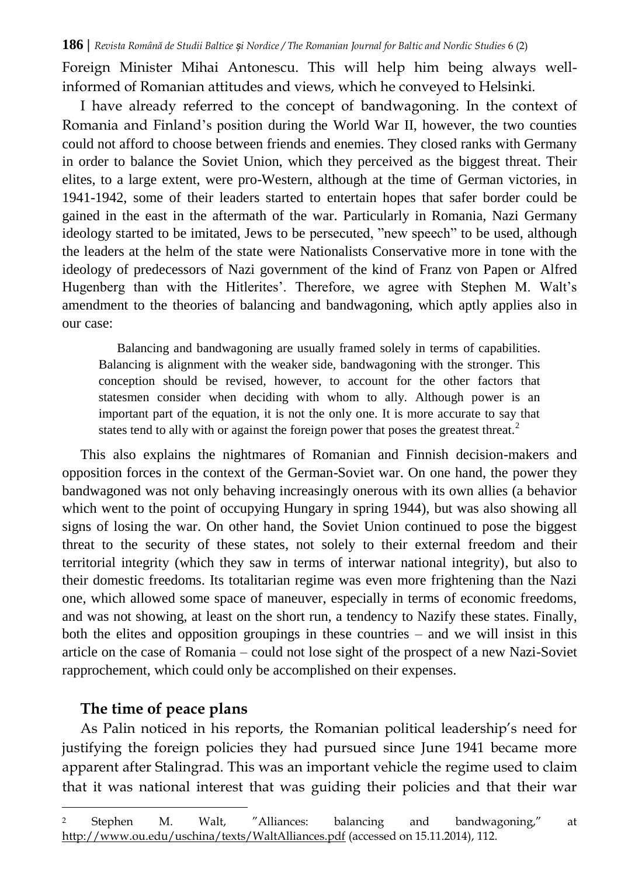Foreign Minister Mihai Antonescu. This will help him being always wellinformed of Romanian attitudes and views, which he conveyed to Helsinki.

I have already referred to the concept of bandwagoning. In the context of Romania and Finland's position during the World War II, however, the two counties could not afford to choose between friends and enemies. They closed ranks with Germany in order to balance the Soviet Union, which they perceived as the biggest threat. Their elites, to a large extent, were pro-Western, although at the time of German victories, in 1941-1942, some of their leaders started to entertain hopes that safer border could be gained in the east in the aftermath of the war. Particularly in Romania, Nazi Germany ideology started to be imitated, Jews to be persecuted, "new speech" to be used, although the leaders at the helm of the state were Nationalists Conservative more in tone with the ideology of predecessors of Nazi government of the kind of Franz von Papen or Alfred Hugenberg than with the Hitlerites'. Therefore, we agree with Stephen M. Walt's amendment to the theories of balancing and bandwagoning, which aptly applies also in our case:

Balancing and bandwagoning are usually framed solely in terms of capabilities. Balancing is alignment with the weaker side, bandwagoning with the stronger. This conception should be revised, however, to account for the other factors that statesmen consider when deciding with whom to ally. Although power is an important part of the equation, it is not the only one. It is more accurate to say that states tend to ally with or against the foreign power that poses the greatest threat.<sup>2</sup>

This also explains the nightmares of Romanian and Finnish decision-makers and opposition forces in the context of the German-Soviet war. On one hand, the power they bandwagoned was not only behaving increasingly onerous with its own allies (a behavior which went to the point of occupying Hungary in spring 1944), but was also showing all signs of losing the war. On other hand, the Soviet Union continued to pose the biggest threat to the security of these states, not solely to their external freedom and their territorial integrity (which they saw in terms of interwar national integrity), but also to their domestic freedoms. Its totalitarian regime was even more frightening than the Nazi one, which allowed some space of maneuver, especially in terms of economic freedoms, and was not showing, at least on the short run, a tendency to Nazify these states. Finally, both the elites and opposition groupings in these countries – and we will insist in this article on the case of Romania – could not lose sight of the prospect of a new Nazi-Soviet rapprochement, which could only be accomplished on their expenses.

### **The time of peace plans**

l

As Palin noticed in his reports, the Romanian political leadership's need for justifying the foreign policies they had pursued since June 1941 became more apparent after Stalingrad. This was an important vehicle the regime used to claim that it was national interest that was guiding their policies and that their war

<sup>2</sup> Stephen M. Walt, "Alliances: balancing and bandwagoning," at <http://www.ou.edu/uschina/texts/WaltAlliances.pdf> (accessed on 15.11.2014), 112.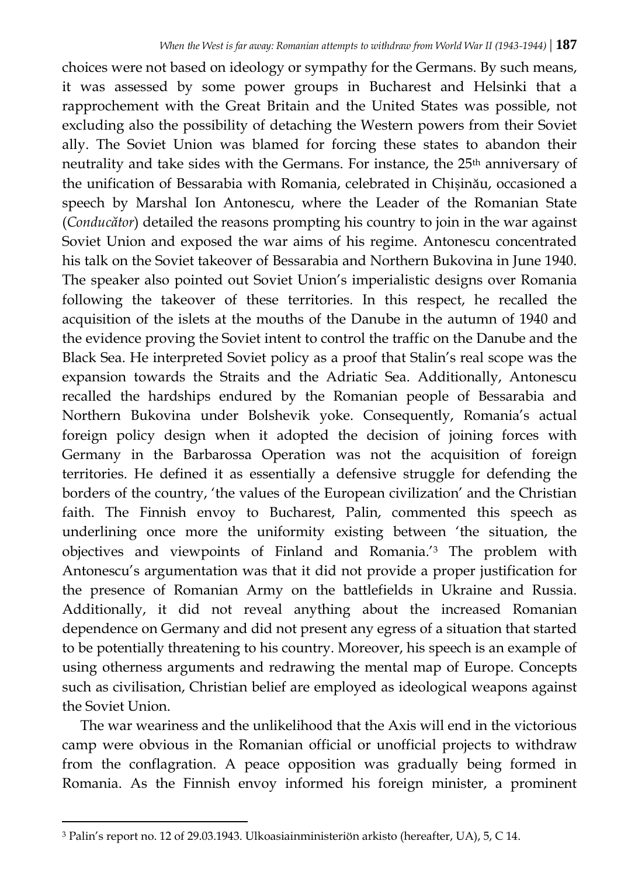choices were not based on ideology or sympathy for the Germans. By such means, it was assessed by some power groups in Bucharest and Helsinki that a rapprochement with the Great Britain and the United States was possible, not excluding also the possibility of detaching the Western powers from their Soviet ally. The Soviet Union was blamed for forcing these states to abandon their neutrality and take sides with the Germans. For instance, the 25<sup>th</sup> anniversary of the unification of Bessarabia with Romania, celebrated in Chișinău, occasioned a speech by Marshal Ion Antonescu, where the Leader of the Romanian State (*Conducător*) detailed the reasons prompting his country to join in the war against Soviet Union and exposed the war aims of his regime. Antonescu concentrated his talk on the Soviet takeover of Bessarabia and Northern Bukovina in June 1940. The speaker also pointed out Soviet Union's imperialistic designs over Romania following the takeover of these territories. In this respect, he recalled the acquisition of the islets at the mouths of the Danube in the autumn of 1940 and the evidence proving the Soviet intent to control the traffic on the Danube and the Black Sea. He interpreted Soviet policy as a proof that Stalin's real scope was the expansion towards the Straits and the Adriatic Sea. Additionally, Antonescu recalled the hardships endured by the Romanian people of Bessarabia and Northern Bukovina under Bolshevik yoke. Consequently, Romania's actual foreign policy design when it adopted the decision of joining forces with Germany in the Barbarossa Operation was not the acquisition of foreign territories. He defined it as essentially a defensive struggle for defending the borders of the country, 'the values of the European civilization' and the Christian faith. The Finnish envoy to Bucharest, Palin, commented this speech as underlining once more the uniformity existing between 'the situation, the objectives and viewpoints of Finland and Romania.'<sup>3</sup> The problem with Antonescu's argumentation was that it did not provide a proper justification for the presence of Romanian Army on the battlefields in Ukraine and Russia. Additionally, it did not reveal anything about the increased Romanian dependence on Germany and did not present any egress of a situation that started to be potentially threatening to his country. Moreover, his speech is an example of using otherness arguments and redrawing the mental map of Europe. Concepts such as civilisation, Christian belief are employed as ideological weapons against the Soviet Union.

The war weariness and the unlikelihood that the Axis will end in the victorious camp were obvious in the Romanian official or unofficial projects to withdraw from the conflagration. A peace opposition was gradually being formed in Romania. As the Finnish envoy informed his foreign minister, a prominent

 $\overline{a}$ 

<sup>3</sup> Palin's report no. 12 of 29.03.1943. Ulkoasiainministeriön arkisto (hereafter, UA), 5, C 14.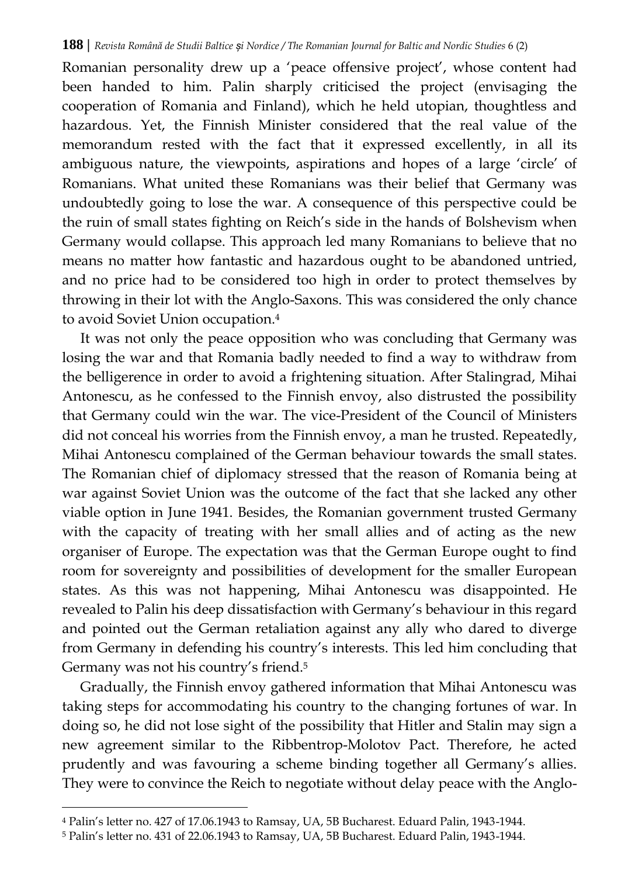Romanian personality drew up a 'peace offensive project', whose content had been handed to him. Palin sharply criticised the project (envisaging the cooperation of Romania and Finland), which he held utopian, thoughtless and hazardous. Yet, the Finnish Minister considered that the real value of the memorandum rested with the fact that it expressed excellently, in all its ambiguous nature, the viewpoints, aspirations and hopes of a large 'circle' of Romanians. What united these Romanians was their belief that Germany was undoubtedly going to lose the war. A consequence of this perspective could be the ruin of small states fighting on Reich's side in the hands of Bolshevism when Germany would collapse. This approach led many Romanians to believe that no means no matter how fantastic and hazardous ought to be abandoned untried, and no price had to be considered too high in order to protect themselves by throwing in their lot with the Anglo-Saxons. This was considered the only chance to avoid Soviet Union occupation.<sup>4</sup>

It was not only the peace opposition who was concluding that Germany was losing the war and that Romania badly needed to find a way to withdraw from the belligerence in order to avoid a frightening situation. After Stalingrad, Mihai Antonescu, as he confessed to the Finnish envoy, also distrusted the possibility that Germany could win the war. The vice-President of the Council of Ministers did not conceal his worries from the Finnish envoy, a man he trusted. Repeatedly, Mihai Antonescu complained of the German behaviour towards the small states. The Romanian chief of diplomacy stressed that the reason of Romania being at war against Soviet Union was the outcome of the fact that she lacked any other viable option in June 1941. Besides, the Romanian government trusted Germany with the capacity of treating with her small allies and of acting as the new organiser of Europe. The expectation was that the German Europe ought to find room for sovereignty and possibilities of development for the smaller European states. As this was not happening, Mihai Antonescu was disappointed. He revealed to Palin his deep dissatisfaction with Germany's behaviour in this regard and pointed out the German retaliation against any ally who dared to diverge from Germany in defending his country's interests. This led him concluding that Germany was not his country's friend.<sup>5</sup>

Gradually, the Finnish envoy gathered information that Mihai Antonescu was taking steps for accommodating his country to the changing fortunes of war. In doing so, he did not lose sight of the possibility that Hitler and Stalin may sign a new agreement similar to the Ribbentrop-Molotov Pact. Therefore, he acted prudently and was favouring a scheme binding together all Germany's allies. They were to convince the Reich to negotiate without delay peace with the Anglo-

<sup>4</sup> Palin's letter no. 427 of 17.06.1943 to Ramsay, UA, 5B Bucharest. Eduard Palin, 1943-1944.

<sup>5</sup> Palin's letter no. 431 of 22.06.1943 to Ramsay, UA, 5B Bucharest. Eduard Palin, 1943-1944.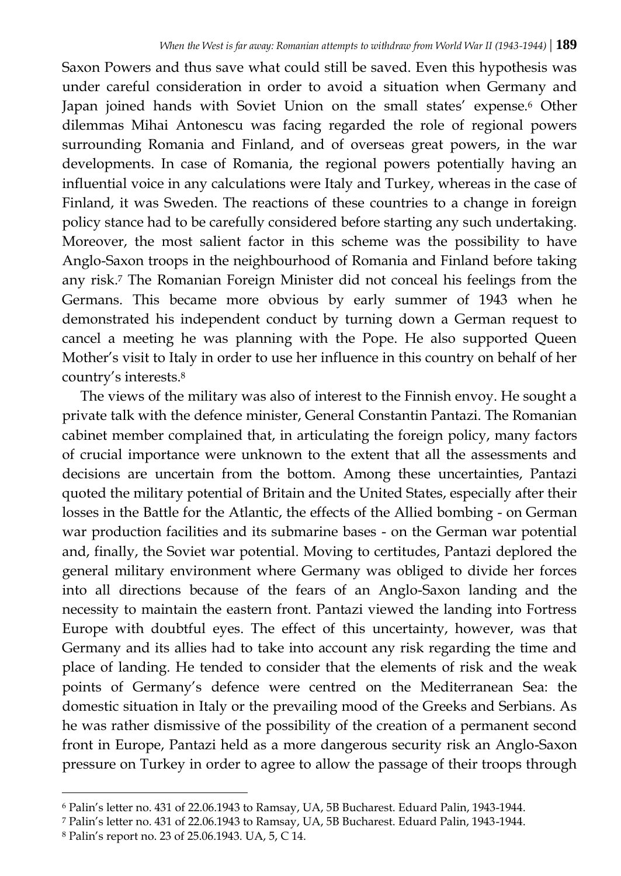Saxon Powers and thus save what could still be saved. Even this hypothesis was under careful consideration in order to avoid a situation when Germany and Japan joined hands with Soviet Union on the small states' expense.<sup>6</sup> Other dilemmas Mihai Antonescu was facing regarded the role of regional powers surrounding Romania and Finland, and of overseas great powers, in the war developments. In case of Romania, the regional powers potentially having an influential voice in any calculations were Italy and Turkey, whereas in the case of Finland, it was Sweden. The reactions of these countries to a change in foreign policy stance had to be carefully considered before starting any such undertaking. Moreover, the most salient factor in this scheme was the possibility to have Anglo-Saxon troops in the neighbourhood of Romania and Finland before taking any risk.<sup>7</sup> The Romanian Foreign Minister did not conceal his feelings from the Germans. This became more obvious by early summer of 1943 when he demonstrated his independent conduct by turning down a German request to cancel a meeting he was planning with the Pope. He also supported Queen Mother's visit to Italy in order to use her influence in this country on behalf of her country's interests.<sup>8</sup>

The views of the military was also of interest to the Finnish envoy. He sought a private talk with the defence minister, General Constantin Pantazi. The Romanian cabinet member complained that, in articulating the foreign policy, many factors of crucial importance were unknown to the extent that all the assessments and decisions are uncertain from the bottom. Among these uncertainties, Pantazi quoted the military potential of Britain and the United States, especially after their losses in the Battle for the Atlantic, the effects of the Allied bombing - on German war production facilities and its submarine bases - on the German war potential and, finally, the Soviet war potential. Moving to certitudes, Pantazi deplored the general military environment where Germany was obliged to divide her forces into all directions because of the fears of an Anglo-Saxon landing and the necessity to maintain the eastern front. Pantazi viewed the landing into Fortress Europe with doubtful eyes. The effect of this uncertainty, however, was that Germany and its allies had to take into account any risk regarding the time and place of landing. He tended to consider that the elements of risk and the weak points of Germany's defence were centred on the Mediterranean Sea: the domestic situation in Italy or the prevailing mood of the Greeks and Serbians. As he was rather dismissive of the possibility of the creation of a permanent second front in Europe, Pantazi held as a more dangerous security risk an Anglo-Saxon pressure on Turkey in order to agree to allow the passage of their troops through

<sup>6</sup> Palin's letter no. 431 of 22.06.1943 to Ramsay, UA, 5B Bucharest. Eduard Palin, 1943-1944.

<sup>7</sup> Palin's letter no. 431 of 22.06.1943 to Ramsay, UA, 5B Bucharest. Eduard Palin, 1943-1944.

<sup>8</sup> Palin's report no. 23 of 25.06.1943. UA, 5, C 14.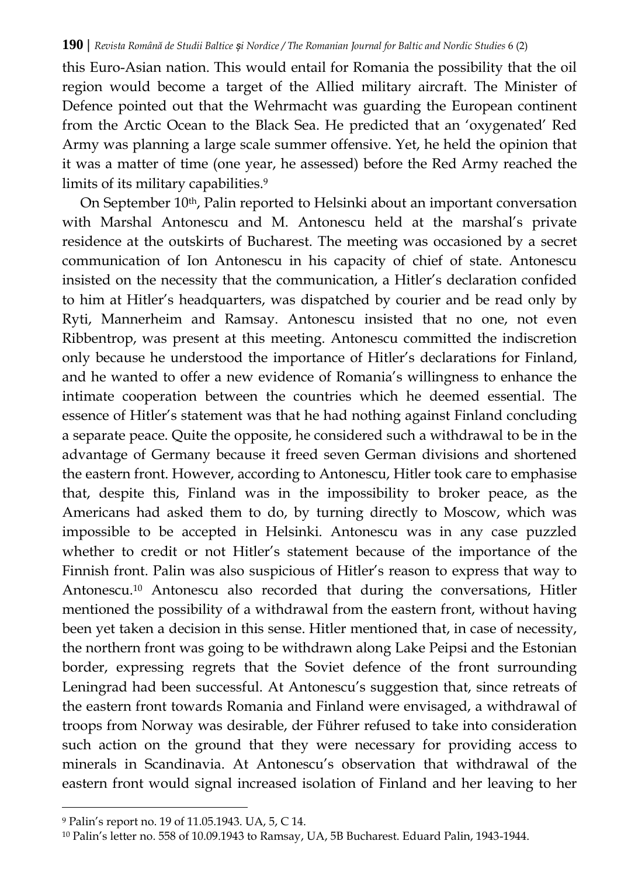this Euro-Asian nation. This would entail for Romania the possibility that the oil region would become a target of the Allied military aircraft. The Minister of Defence pointed out that the Wehrmacht was guarding the European continent from the Arctic Ocean to the Black Sea. He predicted that an 'oxygenated' Red Army was planning a large scale summer offensive. Yet, he held the opinion that it was a matter of time (one year, he assessed) before the Red Army reached the limits of its military capabilities.<sup>9</sup>

On September 10th, Palin reported to Helsinki about an important conversation with Marshal Antonescu and M. Antonescu held at the marshal's private residence at the outskirts of Bucharest. The meeting was occasioned by a secret communication of Ion Antonescu in his capacity of chief of state. Antonescu insisted on the necessity that the communication, a Hitler's declaration confided to him at Hitler's headquarters, was dispatched by courier and be read only by Ryti, Mannerheim and Ramsay. Antonescu insisted that no one, not even Ribbentrop, was present at this meeting. Antonescu committed the indiscretion only because he understood the importance of Hitler's declarations for Finland, and he wanted to offer a new evidence of Romania's willingness to enhance the intimate cooperation between the countries which he deemed essential. The essence of Hitler's statement was that he had nothing against Finland concluding a separate peace. Quite the opposite, he considered such a withdrawal to be in the advantage of Germany because it freed seven German divisions and shortened the eastern front. However, according to Antonescu, Hitler took care to emphasise that, despite this, Finland was in the impossibility to broker peace, as the Americans had asked them to do, by turning directly to Moscow, which was impossible to be accepted in Helsinki. Antonescu was in any case puzzled whether to credit or not Hitler's statement because of the importance of the Finnish front. Palin was also suspicious of Hitler's reason to express that way to Antonescu.<sup>10</sup> Antonescu also recorded that during the conversations, Hitler mentioned the possibility of a withdrawal from the eastern front, without having been yet taken a decision in this sense. Hitler mentioned that, in case of necessity, the northern front was going to be withdrawn along Lake Peipsi and the Estonian border, expressing regrets that the Soviet defence of the front surrounding Leningrad had been successful. At Antonescu's suggestion that, since retreats of the eastern front towards Romania and Finland were envisaged, a withdrawal of troops from Norway was desirable, der Führer refused to take into consideration such action on the ground that they were necessary for providing access to minerals in Scandinavia. At Antonescu's observation that withdrawal of the eastern front would signal increased isolation of Finland and her leaving to her

<sup>9</sup> Palin's report no. 19 of 11.05.1943. UA, 5, C 14.

<sup>10</sup> Palin's letter no. 558 of 10.09.1943 to Ramsay, UA, 5B Bucharest. Eduard Palin, 1943-1944.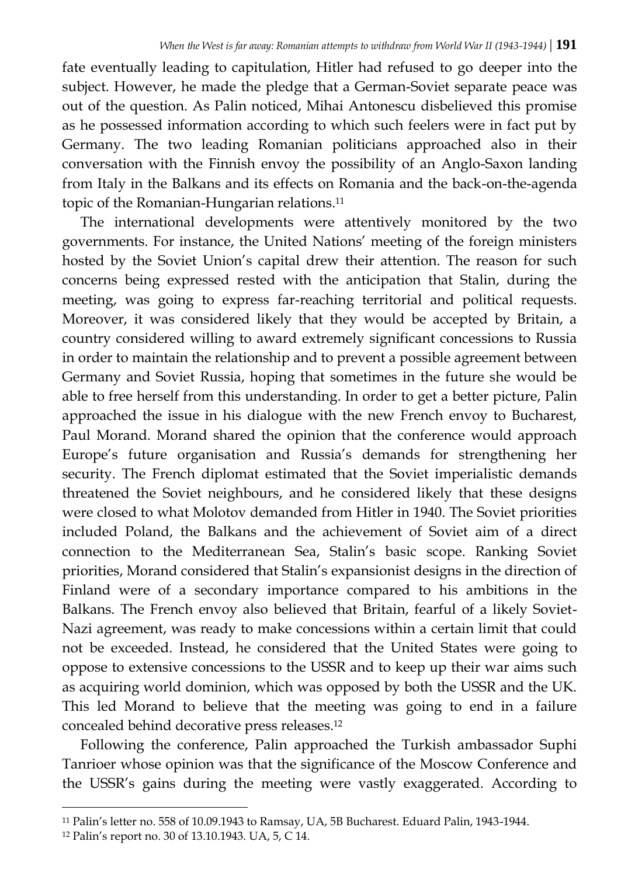fate eventually leading to capitulation, Hitler had refused to go deeper into the subject. However, he made the pledge that a German-Soviet separate peace was out of the question. As Palin noticed, Mihai Antonescu disbelieved this promise as he possessed information according to which such feelers were in fact put by Germany. The two leading Romanian politicians approached also in their conversation with the Finnish envoy the possibility of an Anglo-Saxon landing from Italy in the Balkans and its effects on Romania and the back-on-the-agenda topic of the Romanian-Hungarian relations.<sup>11</sup>

The international developments were attentively monitored by the two governments. For instance, the United Nations' meeting of the foreign ministers hosted by the Soviet Union's capital drew their attention. The reason for such concerns being expressed rested with the anticipation that Stalin, during the meeting, was going to express far-reaching territorial and political requests. Moreover, it was considered likely that they would be accepted by Britain, a country considered willing to award extremely significant concessions to Russia in order to maintain the relationship and to prevent a possible agreement between Germany and Soviet Russia, hoping that sometimes in the future she would be able to free herself from this understanding. In order to get a better picture, Palin approached the issue in his dialogue with the new French envoy to Bucharest, Paul Morand. Morand shared the opinion that the conference would approach Europe's future organisation and Russia's demands for strengthening her security. The French diplomat estimated that the Soviet imperialistic demands threatened the Soviet neighbours, and he considered likely that these designs were closed to what Molotov demanded from Hitler in 1940. The Soviet priorities included Poland, the Balkans and the achievement of Soviet aim of a direct connection to the Mediterranean Sea, Stalin's basic scope. Ranking Soviet priorities, Morand considered that Stalin's expansionist designs in the direction of Finland were of a secondary importance compared to his ambitions in the Balkans. The French envoy also believed that Britain, fearful of a likely Soviet-Nazi agreement, was ready to make concessions within a certain limit that could not be exceeded. Instead, he considered that the United States were going to oppose to extensive concessions to the USSR and to keep up their war aims such as acquiring world dominion, which was opposed by both the USSR and the UK. This led Morand to believe that the meeting was going to end in a failure concealed behind decorative press releases.<sup>12</sup>

Following the conference, Palin approached the Turkish ambassador Suphi Tanrioer whose opinion was that the significance of the Moscow Conference and the USSR's gains during the meeting were vastly exaggerated. According to

l <sup>11</sup> Palin's letter no. 558 of 10.09.1943 to Ramsay, UA, 5B Bucharest. Eduard Palin, 1943-1944.

<sup>12</sup> Palin's report no. 30 of 13.10.1943. UA, 5, C 14.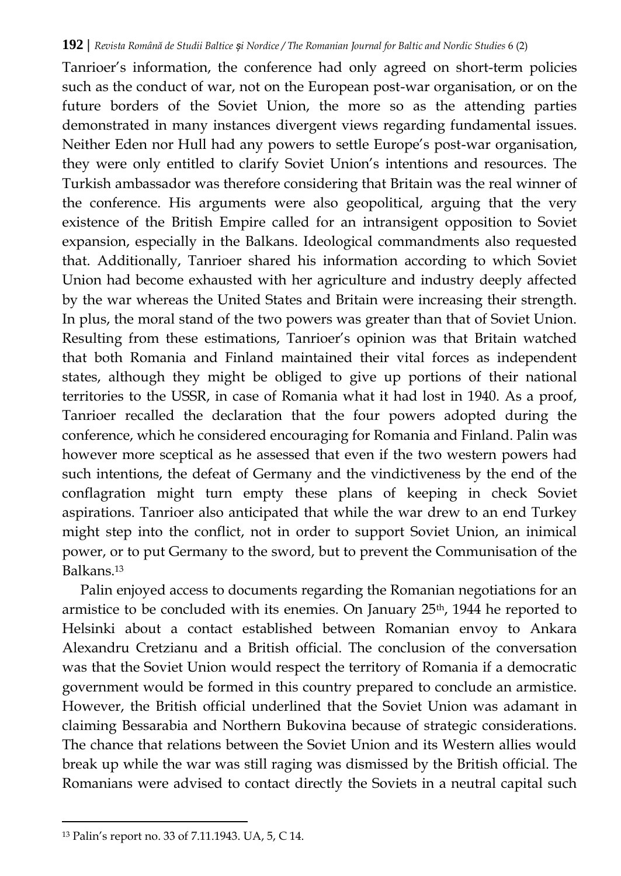Tanrioer's information, the conference had only agreed on short-term policies such as the conduct of war, not on the European post-war organisation, or on the future borders of the Soviet Union, the more so as the attending parties demonstrated in many instances divergent views regarding fundamental issues. Neither Eden nor Hull had any powers to settle Europe's post-war organisation, they were only entitled to clarify Soviet Union's intentions and resources. The Turkish ambassador was therefore considering that Britain was the real winner of the conference. His arguments were also geopolitical, arguing that the very existence of the British Empire called for an intransigent opposition to Soviet expansion, especially in the Balkans. Ideological commandments also requested that. Additionally, Tanrioer shared his information according to which Soviet Union had become exhausted with her agriculture and industry deeply affected by the war whereas the United States and Britain were increasing their strength. In plus, the moral stand of the two powers was greater than that of Soviet Union. Resulting from these estimations, Tanrioer's opinion was that Britain watched that both Romania and Finland maintained their vital forces as independent states, although they might be obliged to give up portions of their national territories to the USSR, in case of Romania what it had lost in 1940. As a proof, Tanrioer recalled the declaration that the four powers adopted during the conference, which he considered encouraging for Romania and Finland. Palin was however more sceptical as he assessed that even if the two western powers had such intentions, the defeat of Germany and the vindictiveness by the end of the conflagration might turn empty these plans of keeping in check Soviet aspirations. Tanrioer also anticipated that while the war drew to an end Turkey might step into the conflict, not in order to support Soviet Union, an inimical power, or to put Germany to the sword, but to prevent the Communisation of the Balkans.<sup>13</sup>

Palin enjoyed access to documents regarding the Romanian negotiations for an armistice to be concluded with its enemies. On January 25th, 1944 he reported to Helsinki about a contact established between Romanian envoy to Ankara Alexandru Cretzianu and a British official. The conclusion of the conversation was that the Soviet Union would respect the territory of Romania if a democratic government would be formed in this country prepared to conclude an armistice. However, the British official underlined that the Soviet Union was adamant in claiming Bessarabia and Northern Bukovina because of strategic considerations. The chance that relations between the Soviet Union and its Western allies would break up while the war was still raging was dismissed by the British official. The Romanians were advised to contact directly the Soviets in a neutral capital such

 $\overline{a}$ 

<sup>13</sup> Palin's report no. 33 of 7.11.1943. UA, 5, C 14.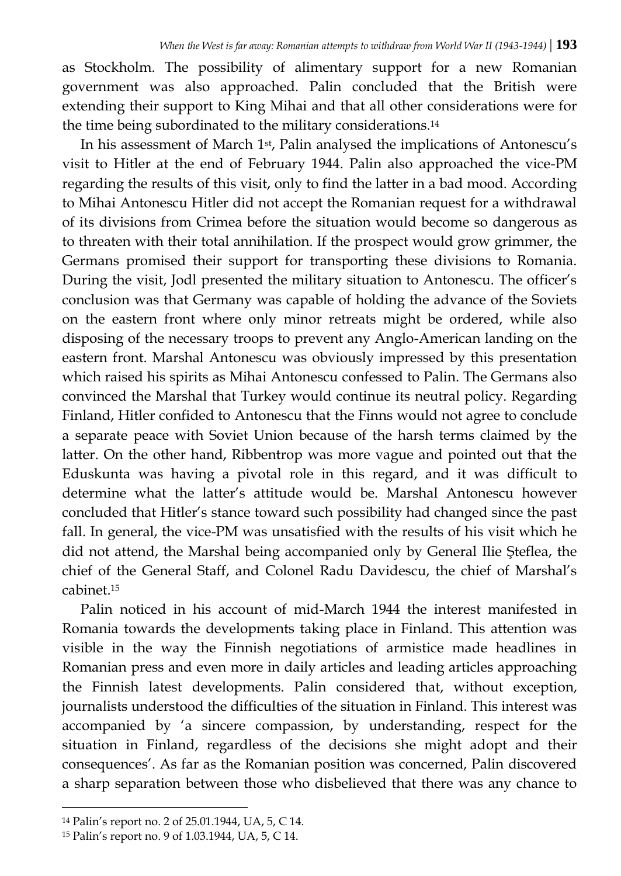as Stockholm. The possibility of alimentary support for a new Romanian government was also approached. Palin concluded that the British were extending their support to King Mihai and that all other considerations were for the time being subordinated to the military considerations.<sup>14</sup>

In his assessment of March 1st, Palin analysed the implications of Antonescu's visit to Hitler at the end of February 1944. Palin also approached the vice-PM regarding the results of this visit, only to find the latter in a bad mood. According to Mihai Antonescu Hitler did not accept the Romanian request for a withdrawal of its divisions from Crimea before the situation would become so dangerous as to threaten with their total annihilation. If the prospect would grow grimmer, the Germans promised their support for transporting these divisions to Romania. During the visit, Jodl presented the military situation to Antonescu. The officer's conclusion was that Germany was capable of holding the advance of the Soviets on the eastern front where only minor retreats might be ordered, while also disposing of the necessary troops to prevent any Anglo-American landing on the eastern front. Marshal Antonescu was obviously impressed by this presentation which raised his spirits as Mihai Antonescu confessed to Palin. The Germans also convinced the Marshal that Turkey would continue its neutral policy. Regarding Finland, Hitler confided to Antonescu that the Finns would not agree to conclude a separate peace with Soviet Union because of the harsh terms claimed by the latter. On the other hand, Ribbentrop was more vague and pointed out that the Eduskunta was having a pivotal role in this regard, and it was difficult to determine what the latter's attitude would be. Marshal Antonescu however concluded that Hitler's stance toward such possibility had changed since the past fall. In general, the vice-PM was unsatisfied with the results of his visit which he did not attend, the Marshal being accompanied only by General Ilie Şteflea, the chief of the General Staff, and Colonel Radu Davidescu, the chief of Marshal's cabinet<sup>15</sup>

Palin noticed in his account of mid-March 1944 the interest manifested in Romania towards the developments taking place in Finland. This attention was visible in the way the Finnish negotiations of armistice made headlines in Romanian press and even more in daily articles and leading articles approaching the Finnish latest developments. Palin considered that, without exception, journalists understood the difficulties of the situation in Finland. This interest was accompanied by 'a sincere compassion, by understanding, respect for the situation in Finland, regardless of the decisions she might adopt and their consequences'. As far as the Romanian position was concerned, Palin discovered a sharp separation between those who disbelieved that there was any chance to

<sup>14</sup> Palin's report no. 2 of 25.01.1944, UA, 5, C 14.

<sup>15</sup> Palin's report no. 9 of 1.03.1944, UA, 5, C 14.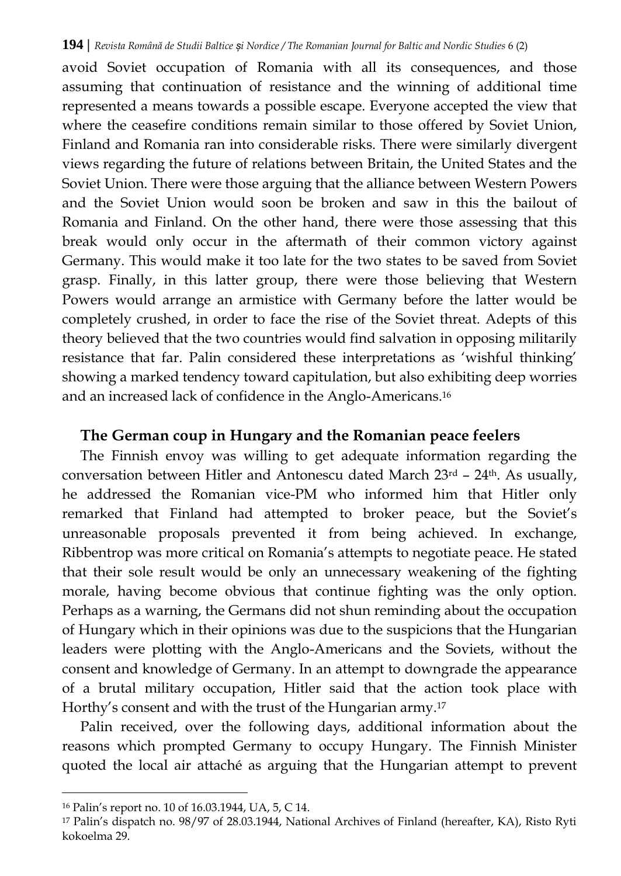avoid Soviet occupation of Romania with all its consequences, and those assuming that continuation of resistance and the winning of additional time represented a means towards a possible escape. Everyone accepted the view that where the ceasefire conditions remain similar to those offered by Soviet Union, Finland and Romania ran into considerable risks. There were similarly divergent views regarding the future of relations between Britain, the United States and the Soviet Union. There were those arguing that the alliance between Western Powers and the Soviet Union would soon be broken and saw in this the bailout of Romania and Finland. On the other hand, there were those assessing that this break would only occur in the aftermath of their common victory against Germany. This would make it too late for the two states to be saved from Soviet grasp. Finally, in this latter group, there were those believing that Western Powers would arrange an armistice with Germany before the latter would be completely crushed, in order to face the rise of the Soviet threat. Adepts of this theory believed that the two countries would find salvation in opposing militarily resistance that far. Palin considered these interpretations as 'wishful thinking' showing a marked tendency toward capitulation, but also exhibiting deep worries and an increased lack of confidence in the Anglo-Americans.<sup>16</sup>

### **The German coup in Hungary and the Romanian peace feelers**

The Finnish envoy was willing to get adequate information regarding the conversation between Hitler and Antonescu dated March 23rd – 24th. As usually, he addressed the Romanian vice-PM who informed him that Hitler only remarked that Finland had attempted to broker peace, but the Soviet's unreasonable proposals prevented it from being achieved. In exchange, Ribbentrop was more critical on Romania's attempts to negotiate peace. He stated that their sole result would be only an unnecessary weakening of the fighting morale, having become obvious that continue fighting was the only option. Perhaps as a warning, the Germans did not shun reminding about the occupation of Hungary which in their opinions was due to the suspicions that the Hungarian leaders were plotting with the Anglo-Americans and the Soviets, without the consent and knowledge of Germany. In an attempt to downgrade the appearance of a brutal military occupation, Hitler said that the action took place with Horthy's consent and with the trust of the Hungarian army.<sup>17</sup>

Palin received, over the following days, additional information about the reasons which prompted Germany to occupy Hungary. The Finnish Minister quoted the local air attaché as arguing that the Hungarian attempt to prevent

<sup>16</sup> Palin's report no. 10 of 16.03.1944, UA, 5, C 14.

<sup>17</sup> Palin's dispatch no. 98/97 of 28.03.1944, National Archives of Finland (hereafter, KA), Risto Ryti kokoelma 29.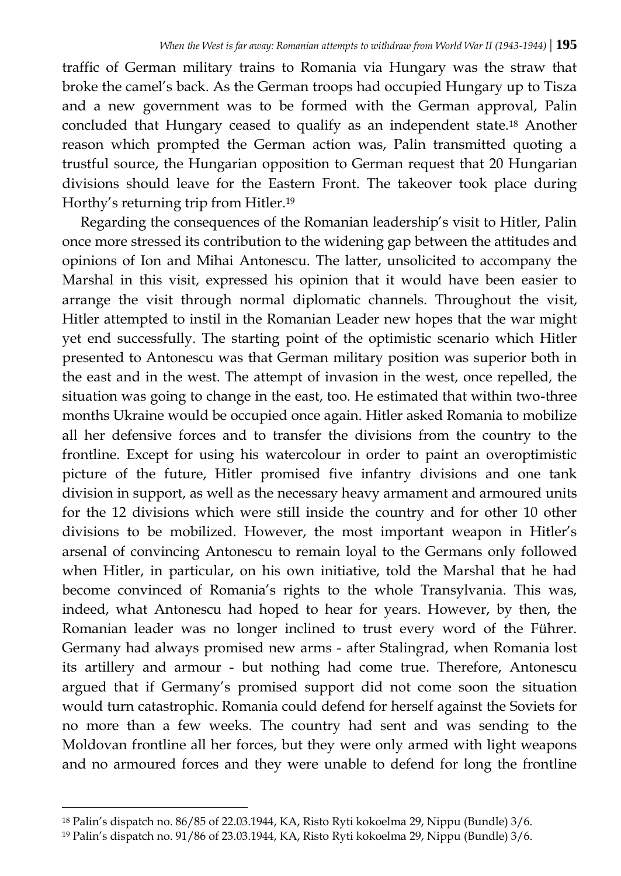traffic of German military trains to Romania via Hungary was the straw that broke the camel's back. As the German troops had occupied Hungary up to Tisza and a new government was to be formed with the German approval, Palin concluded that Hungary ceased to qualify as an independent state.<sup>18</sup> Another reason which prompted the German action was, Palin transmitted quoting a trustful source, the Hungarian opposition to German request that 20 Hungarian divisions should leave for the Eastern Front. The takeover took place during Horthy's returning trip from Hitler.<sup>19</sup>

Regarding the consequences of the Romanian leadership's visit to Hitler, Palin once more stressed its contribution to the widening gap between the attitudes and opinions of Ion and Mihai Antonescu. The latter, unsolicited to accompany the Marshal in this visit, expressed his opinion that it would have been easier to arrange the visit through normal diplomatic channels. Throughout the visit, Hitler attempted to instil in the Romanian Leader new hopes that the war might yet end successfully. The starting point of the optimistic scenario which Hitler presented to Antonescu was that German military position was superior both in the east and in the west. The attempt of invasion in the west, once repelled, the situation was going to change in the east, too. He estimated that within two-three months Ukraine would be occupied once again. Hitler asked Romania to mobilize all her defensive forces and to transfer the divisions from the country to the frontline. Except for using his watercolour in order to paint an overoptimistic picture of the future, Hitler promised five infantry divisions and one tank division in support, as well as the necessary heavy armament and armoured units for the 12 divisions which were still inside the country and for other 10 other divisions to be mobilized. However, the most important weapon in Hitler's arsenal of convincing Antonescu to remain loyal to the Germans only followed when Hitler, in particular, on his own initiative, told the Marshal that he had become convinced of Romania's rights to the whole Transylvania. This was, indeed, what Antonescu had hoped to hear for years. However, by then, the Romanian leader was no longer inclined to trust every word of the Führer. Germany had always promised new arms - after Stalingrad, when Romania lost its artillery and armour - but nothing had come true. Therefore, Antonescu argued that if Germany's promised support did not come soon the situation would turn catastrophic. Romania could defend for herself against the Soviets for no more than a few weeks. The country had sent and was sending to the Moldovan frontline all her forces, but they were only armed with light weapons and no armoured forces and they were unable to defend for long the frontline

<sup>18</sup> Palin's dispatch no. 86/85 of 22.03.1944, KA, Risto Ryti kokoelma 29, Nippu (Bundle) 3/6.

<sup>19</sup> Palin's dispatch no. 91/86 of 23.03.1944, KA, Risto Ryti kokoelma 29, Nippu (Bundle) 3/6.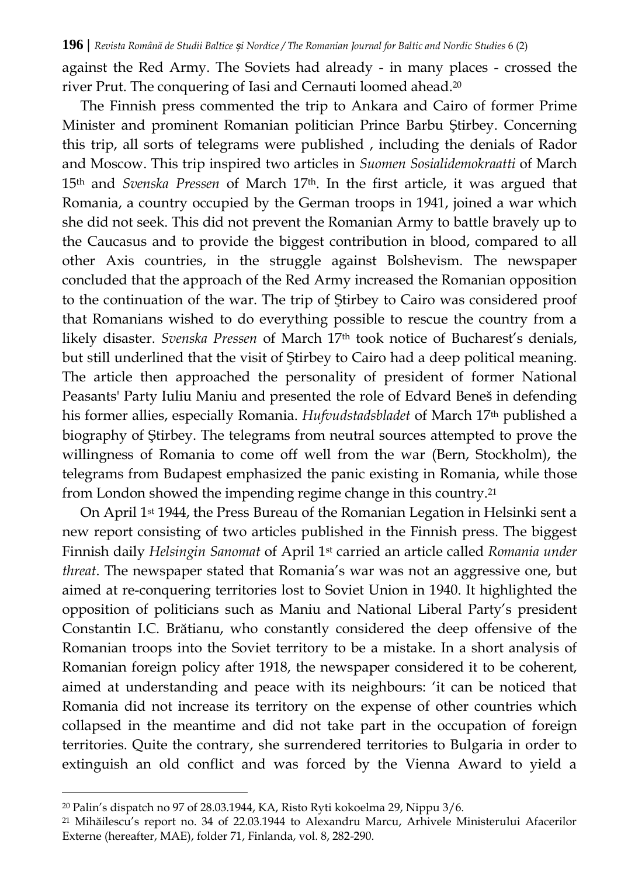against the Red Army. The Soviets had already - in many places - crossed the river Prut. The conquering of Iasi and Cernauti loomed ahead.<sup>20</sup>

The Finnish press commented the trip to Ankara and Cairo of former Prime Minister and prominent Romanian politician Prince Barbu Ştirbey. Concerning this trip, all sorts of telegrams were published , including the denials of Rador and Moscow. This trip inspired two articles in *Suomen Sosialidemokraatti* of March 15th and *Svenska Pressen* of March 17th. In the first article, it was argued that Romania, a country occupied by the German troops in 1941, joined a war which she did not seek. This did not prevent the Romanian Army to battle bravely up to the Caucasus and to provide the biggest contribution in blood, compared to all other Axis countries, in the struggle against Bolshevism. The newspaper concluded that the approach of the Red Army increased the Romanian opposition to the continuation of the war. The trip of Ştirbey to Cairo was considered proof that Romanians wished to do everything possible to rescue the country from a likely disaster. *Svenska Pressen* of March 17th took notice of Bucharest's denials, but still underlined that the visit of Ştirbey to Cairo had a deep political meaning. The article then approached the personality of president of former National Peasants' Party Iuliu Maniu and presented the role of Edvard Beneš in defending his former allies, especially Romania. *Hufvudstadsbladet* of March 17th published a biography of Ştirbey. The telegrams from neutral sources attempted to prove the willingness of Romania to come off well from the war (Bern, Stockholm), the telegrams from Budapest emphasized the panic existing in Romania, while those from London showed the impending regime change in this country.<sup>21</sup>

On April 1st 1944, the Press Bureau of the Romanian Legation in Helsinki sent a new report consisting of two articles published in the Finnish press. The biggest Finnish daily *Helsingin Sanomat* of April 1st carried an article called *Romania under threat*. The newspaper stated that Romania's war was not an aggressive one, but aimed at re-conquering territories lost to Soviet Union in 1940. It highlighted the opposition of politicians such as Maniu and National Liberal Party's president Constantin I.C. Brătianu, who constantly considered the deep offensive of the Romanian troops into the Soviet territory to be a mistake. In a short analysis of Romanian foreign policy after 1918, the newspaper considered it to be coherent, aimed at understanding and peace with its neighbours: 'it can be noticed that Romania did not increase its territory on the expense of other countries which collapsed in the meantime and did not take part in the occupation of foreign territories. Quite the contrary, she surrendered territories to Bulgaria in order to extinguish an old conflict and was forced by the Vienna Award to yield a

<sup>20</sup> Palin's dispatch no 97 of 28.03.1944, KA, Risto Ryti kokoelma 29, Nippu 3/6.

<sup>21</sup> Mihăilescu's report no. 34 of 22.03.1944 to Alexandru Marcu, Arhivele Ministerului Afacerilor Externe (hereafter, MAE), folder 71, Finlanda, vol. 8, 282-290.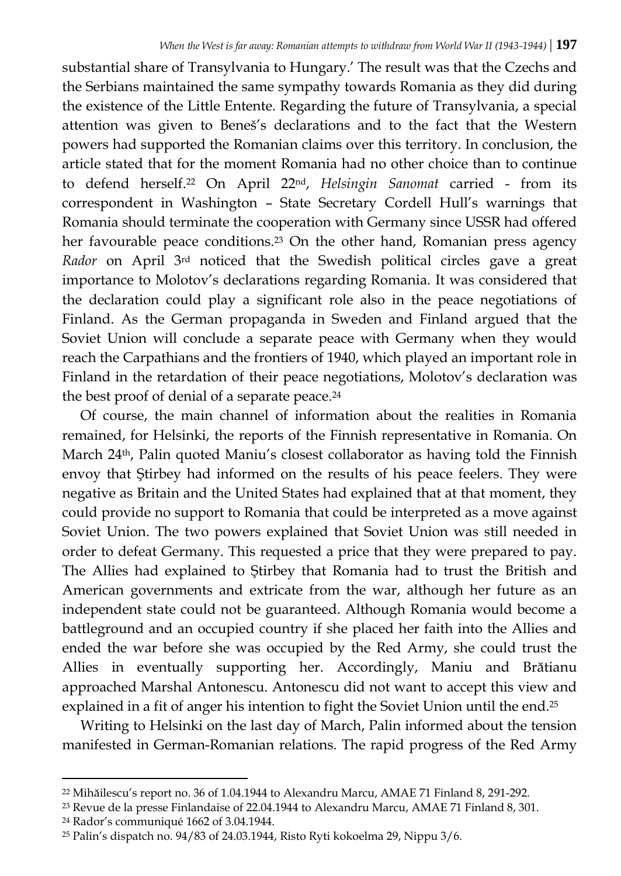substantial share of Transylvania to Hungary.' The result was that the Czechs and the Serbians maintained the same sympathy towards Romania as they did during the existence of the Little Entente. Regarding the future of Transylvania, a special attention was given to Beneš's declarations and to the fact that the Western powers had supported the Romanian claims over this territory. In conclusion, the article stated that for the moment Romania had no other choice than to continue to defend herself.<sup>22</sup> On April 22nd, *Helsingin Sanomat* carried - from its correspondent in Washington – State Secretary Cordell Hull's warnings that Romania should terminate the cooperation with Germany since USSR had offered her favourable peace conditions.<sup>23</sup> On the other hand, Romanian press agency *Rador* on April 3rd noticed that the Swedish political circles gave a great importance to Molotov's declarations regarding Romania. It was considered that the declaration could play a significant role also in the peace negotiations of Finland. As the German propaganda in Sweden and Finland argued that the Soviet Union will conclude a separate peace with Germany when they would reach the Carpathians and the frontiers of 1940, which played an important role in Finland in the retardation of their peace negotiations, Molotov's declaration was the best proof of denial of a separate peace.<sup>24</sup>

Of course, the main channel of information about the realities in Romania remained, for Helsinki, the reports of the Finnish representative in Romania. On March 24th, Palin quoted Maniu's closest collaborator as having told the Finnish envoy that Ştirbey had informed on the results of his peace feelers. They were negative as Britain and the United States had explained that at that moment, they could provide no support to Romania that could be interpreted as a move against Soviet Union. The two powers explained that Soviet Union was still needed in order to defeat Germany. This requested a price that they were prepared to pay. The Allies had explained to Ştirbey that Romania had to trust the British and American governments and extricate from the war, although her future as an independent state could not be guaranteed. Although Romania would become a battleground and an occupied country if she placed her faith into the Allies and ended the war before she was occupied by the Red Army, she could trust the Allies in eventually supporting her. Accordingly, Maniu and Brătianu approached Marshal Antonescu. Antonescu did not want to accept this view and explained in a fit of anger his intention to fight the Soviet Union until the end.<sup>25</sup>

Writing to Helsinki on the last day of March, Palin informed about the tension manifested in German-Romanian relations. The rapid progress of the Red Army

<sup>24</sup> Rador's communiqué 1662 of 3.04.1944.

<sup>22</sup> Mihăilescu's report no. 36 of 1.04.1944 to Alexandru Marcu, AMAE 71 Finland 8, 291-292.

<sup>23</sup> Revue de la presse Finlandaise of 22.04.1944 to Alexandru Marcu, AMAE 71 Finland 8, 301.

<sup>25</sup> Palin's dispatch no. 94/83 of 24.03.1944, Risto Ryti kokoelma 29, Nippu 3/6.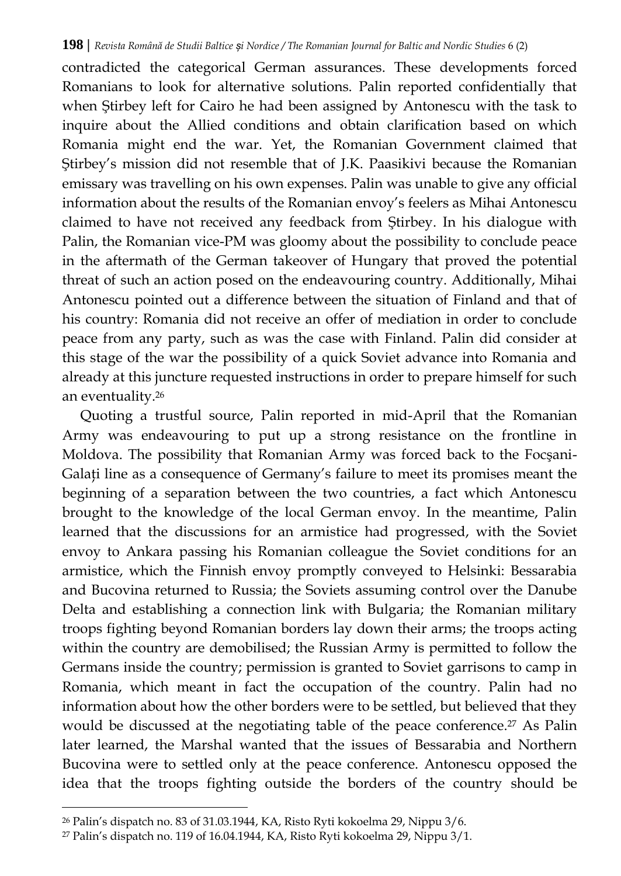contradicted the categorical German assurances. These developments forced Romanians to look for alternative solutions. Palin reported confidentially that when Ştirbey left for Cairo he had been assigned by Antonescu with the task to inquire about the Allied conditions and obtain clarification based on which Romania might end the war. Yet, the Romanian Government claimed that Ştirbey's mission did not resemble that of J.K. Paasikivi because the Romanian emissary was travelling on his own expenses. Palin was unable to give any official information about the results of the Romanian envoy's feelers as Mihai Antonescu claimed to have not received any feedback from Ştirbey. In his dialogue with Palin, the Romanian vice-PM was gloomy about the possibility to conclude peace in the aftermath of the German takeover of Hungary that proved the potential threat of such an action posed on the endeavouring country. Additionally, Mihai Antonescu pointed out a difference between the situation of Finland and that of his country: Romania did not receive an offer of mediation in order to conclude peace from any party, such as was the case with Finland. Palin did consider at this stage of the war the possibility of a quick Soviet advance into Romania and already at this juncture requested instructions in order to prepare himself for such an eventuality.<sup>26</sup>

Quoting a trustful source, Palin reported in mid-April that the Romanian Army was endeavouring to put up a strong resistance on the frontline in Moldova. The possibility that Romanian Army was forced back to the Focşani-Galaţi line as a consequence of Germany's failure to meet its promises meant the beginning of a separation between the two countries, a fact which Antonescu brought to the knowledge of the local German envoy. In the meantime, Palin learned that the discussions for an armistice had progressed, with the Soviet envoy to Ankara passing his Romanian colleague the Soviet conditions for an armistice, which the Finnish envoy promptly conveyed to Helsinki: Bessarabia and Bucovina returned to Russia; the Soviets assuming control over the Danube Delta and establishing a connection link with Bulgaria; the Romanian military troops fighting beyond Romanian borders lay down their arms; the troops acting within the country are demobilised; the Russian Army is permitted to follow the Germans inside the country; permission is granted to Soviet garrisons to camp in Romania, which meant in fact the occupation of the country. Palin had no information about how the other borders were to be settled, but believed that they would be discussed at the negotiating table of the peace conference.<sup>27</sup> As Palin later learned, the Marshal wanted that the issues of Bessarabia and Northern Bucovina were to settled only at the peace conference. Antonescu opposed the idea that the troops fighting outside the borders of the country should be

<sup>26</sup> Palin's dispatch no. 83 of 31.03.1944, KA, Risto Ryti kokoelma 29, Nippu 3/6.

<sup>27</sup> Palin's dispatch no. 119 of 16.04.1944, KA, Risto Ryti kokoelma 29, Nippu 3/1.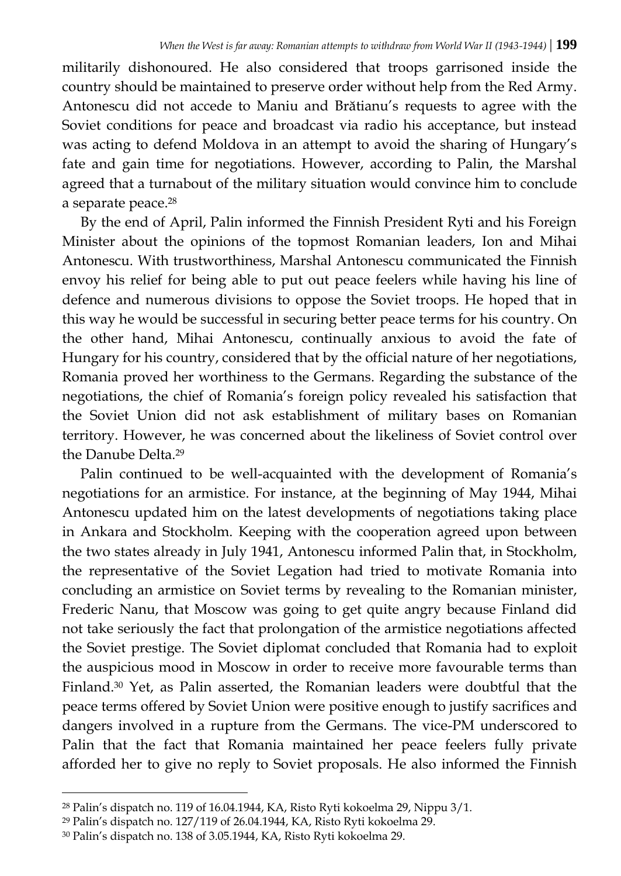militarily dishonoured. He also considered that troops garrisoned inside the country should be maintained to preserve order without help from the Red Army. Antonescu did not accede to Maniu and Brătianu's requests to agree with the Soviet conditions for peace and broadcast via radio his acceptance, but instead was acting to defend Moldova in an attempt to avoid the sharing of Hungary's fate and gain time for negotiations. However, according to Palin, the Marshal agreed that a turnabout of the military situation would convince him to conclude a separate peace.<sup>28</sup>

By the end of April, Palin informed the Finnish President Ryti and his Foreign Minister about the opinions of the topmost Romanian leaders, Ion and Mihai Antonescu. With trustworthiness, Marshal Antonescu communicated the Finnish envoy his relief for being able to put out peace feelers while having his line of defence and numerous divisions to oppose the Soviet troops. He hoped that in this way he would be successful in securing better peace terms for his country. On the other hand, Mihai Antonescu, continually anxious to avoid the fate of Hungary for his country, considered that by the official nature of her negotiations, Romania proved her worthiness to the Germans. Regarding the substance of the negotiations, the chief of Romania's foreign policy revealed his satisfaction that the Soviet Union did not ask establishment of military bases on Romanian territory. However, he was concerned about the likeliness of Soviet control over the Danube Delta.<sup>29</sup>

Palin continued to be well-acquainted with the development of Romania's negotiations for an armistice. For instance, at the beginning of May 1944, Mihai Antonescu updated him on the latest developments of negotiations taking place in Ankara and Stockholm. Keeping with the cooperation agreed upon between the two states already in July 1941, Antonescu informed Palin that, in Stockholm, the representative of the Soviet Legation had tried to motivate Romania into concluding an armistice on Soviet terms by revealing to the Romanian minister, Frederic Nanu, that Moscow was going to get quite angry because Finland did not take seriously the fact that prolongation of the armistice negotiations affected the Soviet prestige. The Soviet diplomat concluded that Romania had to exploit the auspicious mood in Moscow in order to receive more favourable terms than Finland.<sup>30</sup> Yet, as Palin asserted, the Romanian leaders were doubtful that the peace terms offered by Soviet Union were positive enough to justify sacrifices and dangers involved in a rupture from the Germans. The vice-PM underscored to Palin that the fact that Romania maintained her peace feelers fully private afforded her to give no reply to Soviet proposals. He also informed the Finnish

<sup>28</sup> Palin's dispatch no. 119 of 16.04.1944, KA, Risto Ryti kokoelma 29, Nippu 3/1.

<sup>29</sup> Palin's dispatch no. 127/119 of 26.04.1944, KA, Risto Ryti kokoelma 29.

<sup>30</sup> Palin's dispatch no. 138 of 3.05.1944, KA, Risto Ryti kokoelma 29.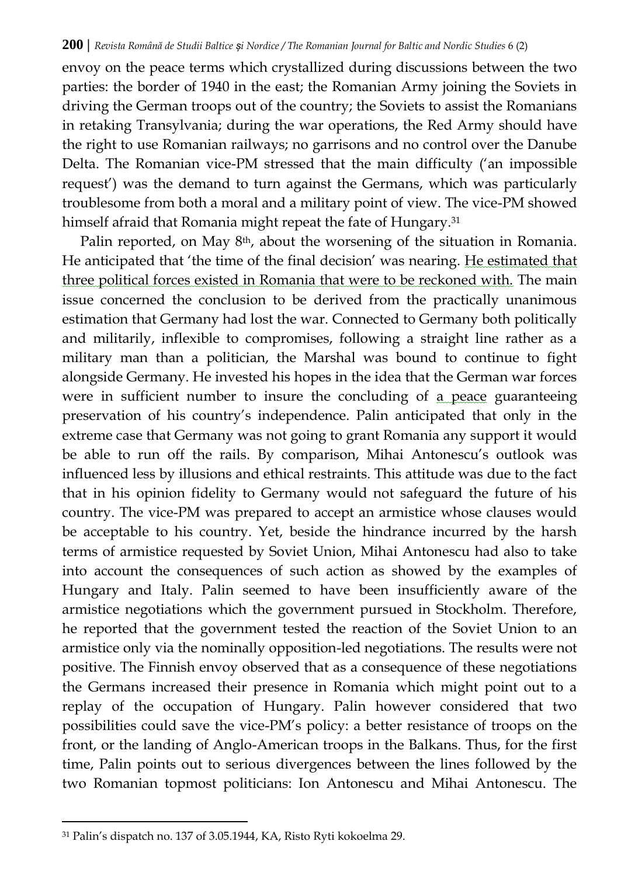envoy on the peace terms which crystallized during discussions between the two parties: the border of 1940 in the east; the Romanian Army joining the Soviets in driving the German troops out of the country; the Soviets to assist the Romanians in retaking Transylvania; during the war operations, the Red Army should have the right to use Romanian railways; no garrisons and no control over the Danube Delta. The Romanian vice-PM stressed that the main difficulty ('an impossible request') was the demand to turn against the Germans, which was particularly troublesome from both a moral and a military point of view. The vice-PM showed himself afraid that Romania might repeat the fate of Hungary.<sup>31</sup>

Palin reported, on May 8th, about the worsening of the situation in Romania. He anticipated that 'the time of the final decision' was nearing. He estimated that three political forces existed in Romania that were to be reckoned with. The main issue concerned the conclusion to be derived from the practically unanimous estimation that Germany had lost the war. Connected to Germany both politically and militarily, inflexible to compromises, following a straight line rather as a military man than a politician, the Marshal was bound to continue to fight alongside Germany. He invested his hopes in the idea that the German war forces were in sufficient number to insure the concluding of a peace guaranteeing preservation of his country's independence. Palin anticipated that only in the extreme case that Germany was not going to grant Romania any support it would be able to run off the rails. By comparison, Mihai Antonescu's outlook was influenced less by illusions and ethical restraints. This attitude was due to the fact that in his opinion fidelity to Germany would not safeguard the future of his country. The vice-PM was prepared to accept an armistice whose clauses would be acceptable to his country. Yet, beside the hindrance incurred by the harsh terms of armistice requested by Soviet Union, Mihai Antonescu had also to take into account the consequences of such action as showed by the examples of Hungary and Italy. Palin seemed to have been insufficiently aware of the armistice negotiations which the government pursued in Stockholm. Therefore, he reported that the government tested the reaction of the Soviet Union to an armistice only via the nominally opposition-led negotiations. The results were not positive. The Finnish envoy observed that as a consequence of these negotiations the Germans increased their presence in Romania which might point out to a replay of the occupation of Hungary. Palin however considered that two possibilities could save the vice-PM's policy: a better resistance of troops on the front, or the landing of Anglo-American troops in the Balkans. Thus, for the first time, Palin points out to serious divergences between the lines followed by the two Romanian topmost politicians: Ion Antonescu and Mihai Antonescu. The

 $\overline{a}$ 

<sup>31</sup> Palin's dispatch no. 137 of 3.05.1944, KA, Risto Ryti kokoelma 29.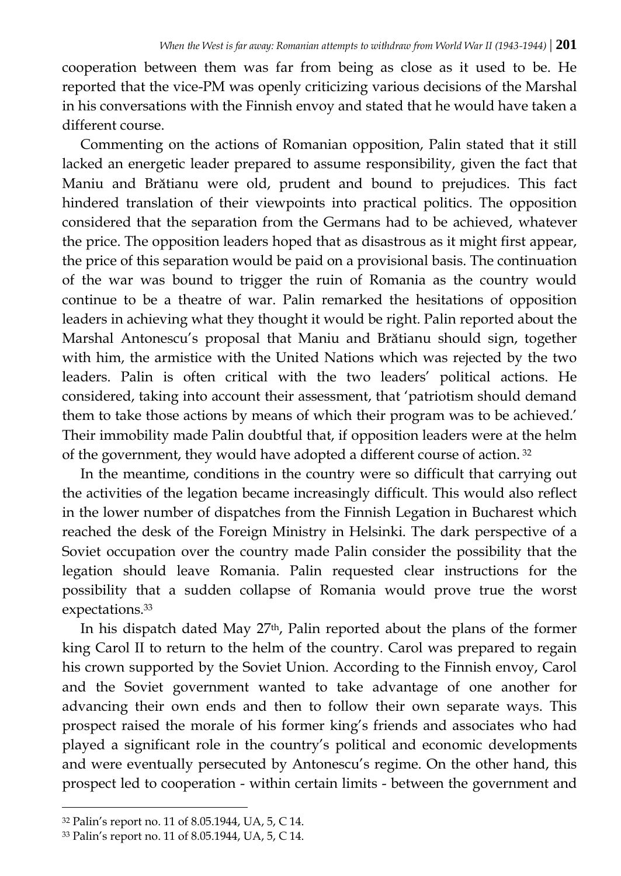cooperation between them was far from being as close as it used to be. He reported that the vice-PM was openly criticizing various decisions of the Marshal in his conversations with the Finnish envoy and stated that he would have taken a different course.

Commenting on the actions of Romanian opposition, Palin stated that it still lacked an energetic leader prepared to assume responsibility, given the fact that Maniu and Brătianu were old, prudent and bound to prejudices. This fact hindered translation of their viewpoints into practical politics. The opposition considered that the separation from the Germans had to be achieved, whatever the price. The opposition leaders hoped that as disastrous as it might first appear, the price of this separation would be paid on a provisional basis. The continuation of the war was bound to trigger the ruin of Romania as the country would continue to be a theatre of war. Palin remarked the hesitations of opposition leaders in achieving what they thought it would be right. Palin reported about the Marshal Antonescu's proposal that Maniu and Brătianu should sign, together with him, the armistice with the United Nations which was rejected by the two leaders. Palin is often critical with the two leaders' political actions. He considered, taking into account their assessment, that 'patriotism should demand them to take those actions by means of which their program was to be achieved.' Their immobility made Palin doubtful that, if opposition leaders were at the helm of the government, they would have adopted a different course of action. <sup>32</sup>

In the meantime, conditions in the country were so difficult that carrying out the activities of the legation became increasingly difficult. This would also reflect in the lower number of dispatches from the Finnish Legation in Bucharest which reached the desk of the Foreign Ministry in Helsinki. The dark perspective of a Soviet occupation over the country made Palin consider the possibility that the legation should leave Romania. Palin requested clear instructions for the possibility that a sudden collapse of Romania would prove true the worst expectations.<sup>33</sup>

In his dispatch dated May 27th, Palin reported about the plans of the former king Carol II to return to the helm of the country. Carol was prepared to regain his crown supported by the Soviet Union. According to the Finnish envoy, Carol and the Soviet government wanted to take advantage of one another for advancing their own ends and then to follow their own separate ways. This prospect raised the morale of his former king's friends and associates who had played a significant role in the country's political and economic developments and were eventually persecuted by Antonescu's regime. On the other hand, this prospect led to cooperation - within certain limits - between the government and

<sup>32</sup> Palin's report no. 11 of 8.05.1944, UA, 5, C 14.

<sup>33</sup> Palin's report no. 11 of 8.05.1944, UA, 5, C 14.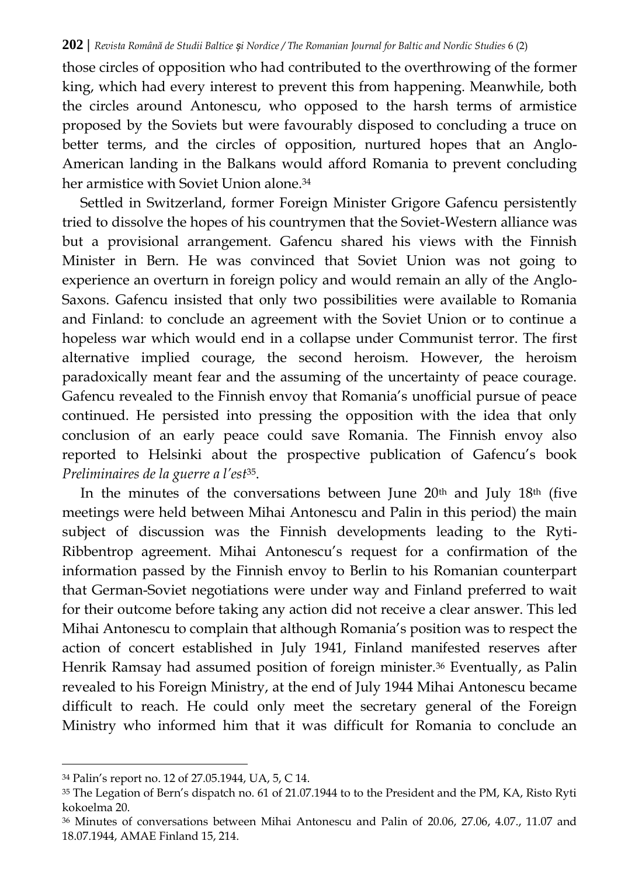those circles of opposition who had contributed to the overthrowing of the former king, which had every interest to prevent this from happening. Meanwhile, both the circles around Antonescu, who opposed to the harsh terms of armistice proposed by the Soviets but were favourably disposed to concluding a truce on better terms, and the circles of opposition, nurtured hopes that an Anglo-American landing in the Balkans would afford Romania to prevent concluding her armistice with Soviet Union alone.<sup>34</sup>

Settled in Switzerland, former Foreign Minister Grigore Gafencu persistently tried to dissolve the hopes of his countrymen that the Soviet-Western alliance was but a provisional arrangement. Gafencu shared his views with the Finnish Minister in Bern. He was convinced that Soviet Union was not going to experience an overturn in foreign policy and would remain an ally of the Anglo-Saxons. Gafencu insisted that only two possibilities were available to Romania and Finland: to conclude an agreement with the Soviet Union or to continue a hopeless war which would end in a collapse under Communist terror. The first alternative implied courage, the second heroism. However, the heroism paradoxically meant fear and the assuming of the uncertainty of peace courage. Gafencu revealed to the Finnish envoy that Romania's unofficial pursue of peace continued. He persisted into pressing the opposition with the idea that only conclusion of an early peace could save Romania. The Finnish envoy also reported to Helsinki about the prospective publication of Gafencu's book *Preliminaires de la guerre a l'est*35.

In the minutes of the conversations between June  $20<sup>th</sup>$  and July  $18<sup>th</sup>$  (five meetings were held between Mihai Antonescu and Palin in this period) the main subject of discussion was the Finnish developments leading to the Ryti-Ribbentrop agreement. Mihai Antonescu's request for a confirmation of the information passed by the Finnish envoy to Berlin to his Romanian counterpart that German-Soviet negotiations were under way and Finland preferred to wait for their outcome before taking any action did not receive a clear answer. This led Mihai Antonescu to complain that although Romania's position was to respect the action of concert established in July 1941, Finland manifested reserves after Henrik Ramsay had assumed position of foreign minister.<sup>36</sup> Eventually, as Palin revealed to his Foreign Ministry, at the end of July 1944 Mihai Antonescu became difficult to reach. He could only meet the secretary general of the Foreign Ministry who informed him that it was difficult for Romania to conclude an

 $\overline{a}$ 

<sup>34</sup> Palin's report no. 12 of 27.05.1944, UA, 5, C 14.

<sup>35</sup> The Legation of Bern's dispatch no. 61 of 21.07.1944 to to the President and the PM, KA, Risto Ryti kokoelma 20.

<sup>36</sup> Minutes of conversations between Mihai Antonescu and Palin of 20.06, 27.06, 4.07., 11.07 and 18.07.1944, AMAE Finland 15, 214.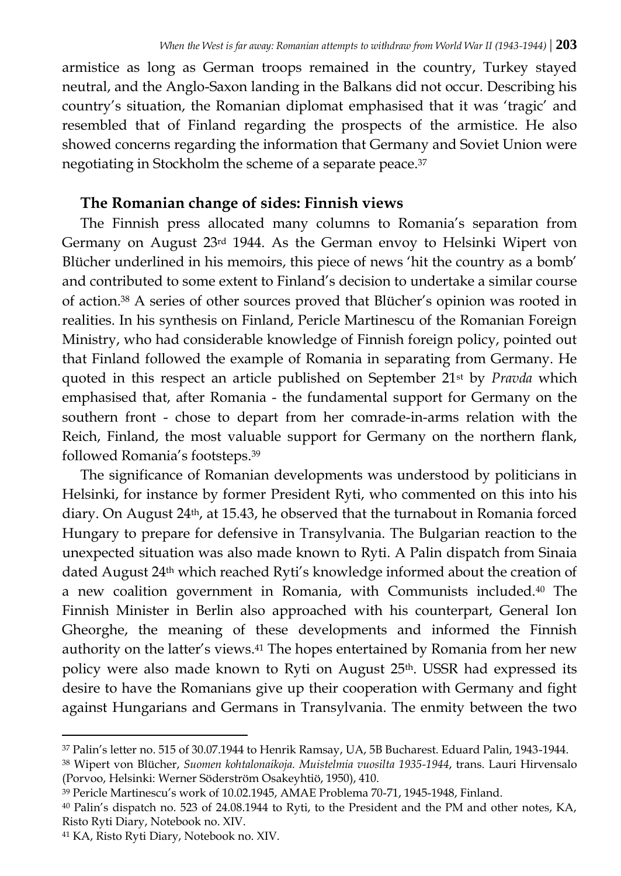armistice as long as German troops remained in the country, Turkey stayed neutral, and the Anglo-Saxon landing in the Balkans did not occur. Describing his country's situation, the Romanian diplomat emphasised that it was 'tragic' and resembled that of Finland regarding the prospects of the armistice. He also showed concerns regarding the information that Germany and Soviet Union were negotiating in Stockholm the scheme of a separate peace.<sup>37</sup>

# **The Romanian change of sides: Finnish views**

The Finnish press allocated many columns to Romania's separation from Germany on August 23rd 1944. As the German envoy to Helsinki Wipert von Blücher underlined in his memoirs, this piece of news 'hit the country as a bomb' and contributed to some extent to Finland's decision to undertake a similar course of action.<sup>38</sup> A series of other sources proved that Blücher's opinion was rooted in realities. In his synthesis on Finland, Pericle Martinescu of the Romanian Foreign Ministry, who had considerable knowledge of Finnish foreign policy, pointed out that Finland followed the example of Romania in separating from Germany. He quoted in this respect an article published on September 21st by *Pravda* which emphasised that, after Romania - the fundamental support for Germany on the southern front - chose to depart from her comrade-in-arms relation with the Reich, Finland, the most valuable support for Germany on the northern flank, followed Romania's footsteps.<sup>39</sup>

The significance of Romanian developments was understood by politicians in Helsinki, for instance by former President Ryti, who commented on this into his diary. On August 24<sup>th</sup>, at 15.43, he observed that the turnabout in Romania forced Hungary to prepare for defensive in Transylvania. The Bulgarian reaction to the unexpected situation was also made known to Ryti. A Palin dispatch from Sinaia dated August 24th which reached Ryti's knowledge informed about the creation of a new coalition government in Romania, with Communists included.<sup>40</sup> The Finnish Minister in Berlin also approached with his counterpart, General Ion Gheorghe, the meaning of these developments and informed the Finnish authority on the latter's views.<sup>41</sup> The hopes entertained by Romania from her new policy were also made known to Ryti on August 25<sup>th</sup>. USSR had expressed its desire to have the Romanians give up their cooperation with Germany and fight against Hungarians and Germans in Transylvania. The enmity between the two

 $\overline{a}$ <sup>37</sup> Palin's letter no. 515 of 30.07.1944 to Henrik Ramsay, UA, 5B Bucharest. Eduard Palin, 1943-1944.

<sup>38</sup> Wipert von Blücher, *Suomen kohtalonaikoja. Muistelmia vuosilta 1935-1944*, trans. Lauri Hirvensalo (Porvoo, Helsinki: Werner Söderström Osakeyhtiö, 1950), 410.

<sup>39</sup> Pericle Martinescu's work of 10.02.1945, AMAE Problema 70-71, 1945-1948, Finland.

<sup>40</sup> Palin's dispatch no. 523 of 24.08.1944 to Ryti, to the President and the PM and other notes, KA, Risto Ryti Diary, Notebook no. XIV.

<sup>41</sup> KA, Risto Ryti Diary, Notebook no. XIV.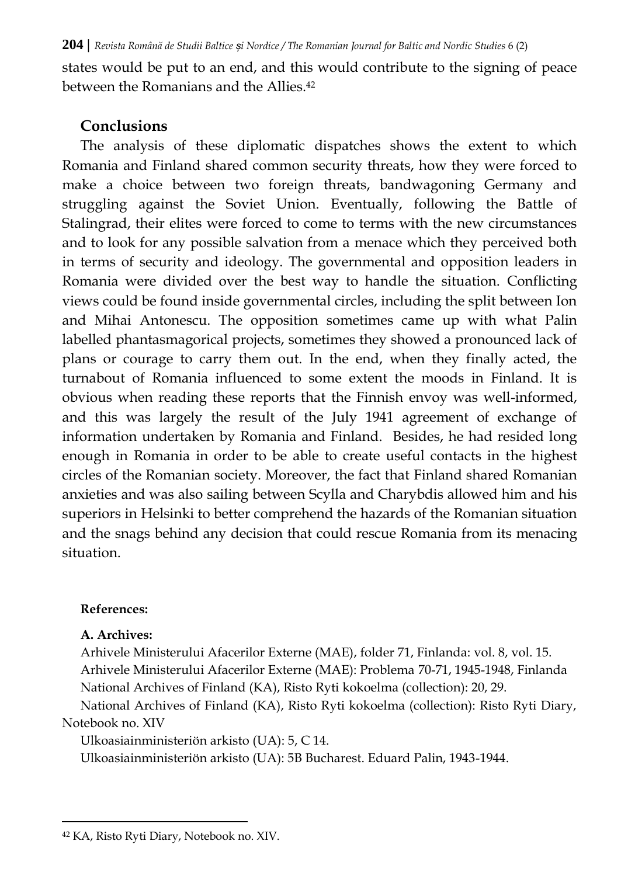states would be put to an end, and this would contribute to the signing of peace between the Romanians and the Allies.<sup>42</sup>

### **Conclusions**

The analysis of these diplomatic dispatches shows the extent to which Romania and Finland shared common security threats, how they were forced to make a choice between two foreign threats, bandwagoning Germany and struggling against the Soviet Union. Eventually, following the Battle of Stalingrad, their elites were forced to come to terms with the new circumstances and to look for any possible salvation from a menace which they perceived both in terms of security and ideology. The governmental and opposition leaders in Romania were divided over the best way to handle the situation. Conflicting views could be found inside governmental circles, including the split between Ion and Mihai Antonescu. The opposition sometimes came up with what Palin labelled phantasmagorical projects, sometimes they showed a pronounced lack of plans or courage to carry them out. In the end, when they finally acted, the turnabout of Romania influenced to some extent the moods in Finland. It is obvious when reading these reports that the Finnish envoy was well-informed, and this was largely the result of the July 1941 agreement of exchange of information undertaken by Romania and Finland. Besides, he had resided long enough in Romania in order to be able to create useful contacts in the highest circles of the Romanian society. Moreover, the fact that Finland shared Romanian anxieties and was also sailing between Scylla and Charybdis allowed him and his superiors in Helsinki to better comprehend the hazards of the Romanian situation and the snags behind any decision that could rescue Romania from its menacing situation.

### **References:**

### **A. Archives:**

 $\overline{a}$ 

Arhivele Ministerului Afacerilor Externe (MAE), folder 71, Finlanda: vol. 8, vol. 15. Arhivele Ministerului Afacerilor Externe (MAE): Problema 70-71, 1945-1948, Finlanda National Archives of Finland (KA), Risto Ryti kokoelma (collection): 20, 29.

National Archives of Finland (KA), Risto Ryti kokoelma (collection): Risto Ryti Diary, Notebook no. XIV

Ulkoasiainministeriön arkisto (UA): 5, C 14.

Ulkoasiainministeriön arkisto (UA): 5B Bucharest. Eduard Palin, 1943-1944.

<sup>42</sup> KA, Risto Ryti Diary, Notebook no. XIV.